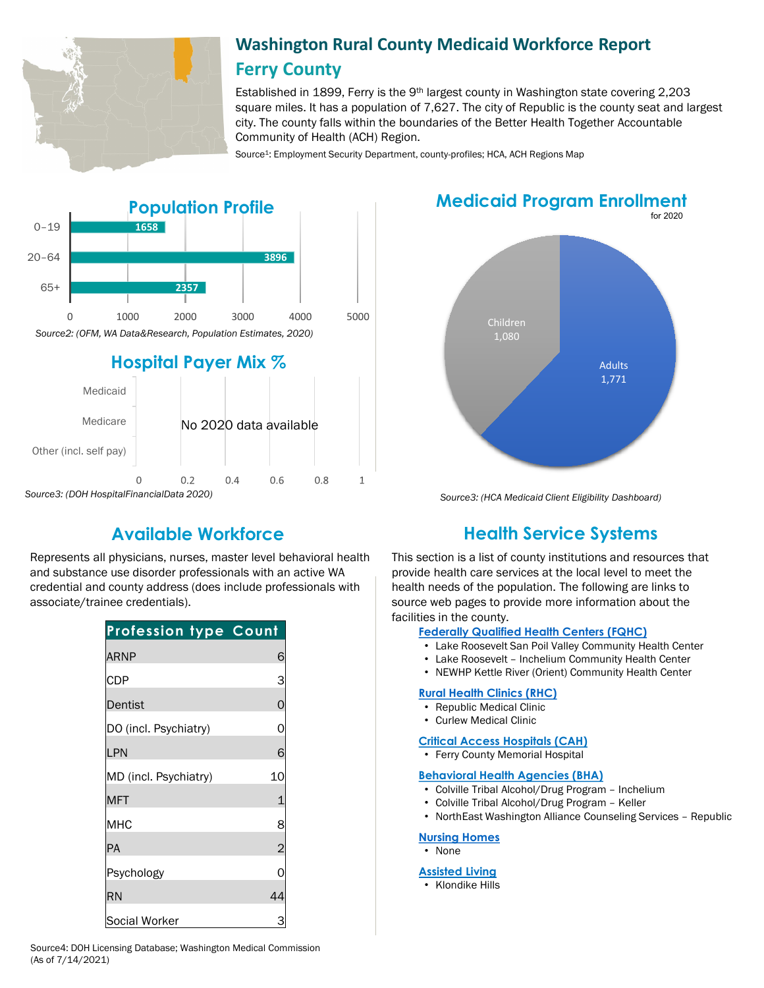

## **Washington Rural County Medicaid Workforce Report Ferry County**

Established in 1899, Ferry is the 9th largest county in Washington state covering 2,203 square miles. It has a population of 7,627. The city of Republic is the county seat and largest city. The county falls within the boundaries of the Better Health Together Accountable Community of Health (ACH) Region.

Source<sup>1</sup>: Employment Security Department, county-profiles; HCA, ACH Regions Map



#### for 2020 **Medicaid Program Enrollment**



*Source3: (DOH HospitalFinancialData 2020)*

Represents all physicians, nurses, master level behavioral health and substance use disorder professionals with an active WA credential and county address (does include professionals with associate/trainee credentials).

| <b>Profession type Count</b> |                |
|------------------------------|----------------|
| <b>ARNP</b>                  | 6              |
| <b>CDP</b>                   | 3              |
| Dentist                      | $\overline{0}$ |
| DO (incl. Psychiatry)        | 0              |
| LPN                          | 6              |
| MD (incl. Psychiatry)        | 10             |
| <b>MFT</b>                   | 1              |
| MHC                          | 8              |
| <b>PA</b>                    | $\overline{c}$ |
| Psychology                   | N              |
| RN                           | 44             |
| Social Worker                |                |

*Source3: (HCA Medicaid Client Eligibility Dashboard)*

# **Available Workforce Health Service Systems**

This section is a list of county institutions and resources that provide health care services at the local level to meet the health needs of the population. The following are links to source web pages to provide more information about the facilities in the county.

#### **[Federally Qualified Health Centers \(FQHC\)](https://www.doh.wa.gov/ForPublicHealthandHealthcareProviders/RuralHealth/PrimaryCareOffice)**

- Lake Roosevelt San Poil Valley Community Health Center
- Lake Roosevelt Inchelium Community Health Center
- NEWHP Kettle River (Orient) Community Health Center

#### **[Rural Health Clinics \(RHC\)](https://www.doh.wa.gov/ForPublicHealthandHealthcareProviders/RuralHealth/RuralHealthSystems)**

- Republic Medical Clinic
- Curlew Medical Clinic

#### **[Critical Access Hospitals \(CAH\)](https://www.doh.wa.gov/ForPublicHealthandHealthcareProviders/RuralHealth/RuralHealthSystems)**

• Ferry County Memorial Hospital

#### **[Behavioral Health Agencies \(BHA\)](https://www.doh.wa.gov/LicensesPermitsandCertificates/ProviderCredentialSearch)**

- Colville Tribal Alcohol/Drug Program Inchelium
- Colville Tribal Alcohol/Drug Program Keller
- NorthEast Washington Alliance Counseling Services Republic

#### **[Nursing Homes](https://fortress.wa.gov/dshs/adsaapps/lookup/NHAdvLookup.aspx)**

• None

#### **[Assisted Living](https://fortress.wa.gov/dshs/adsaapps/lookup/BHAdvLookup.aspx)**

• Klondike Hills